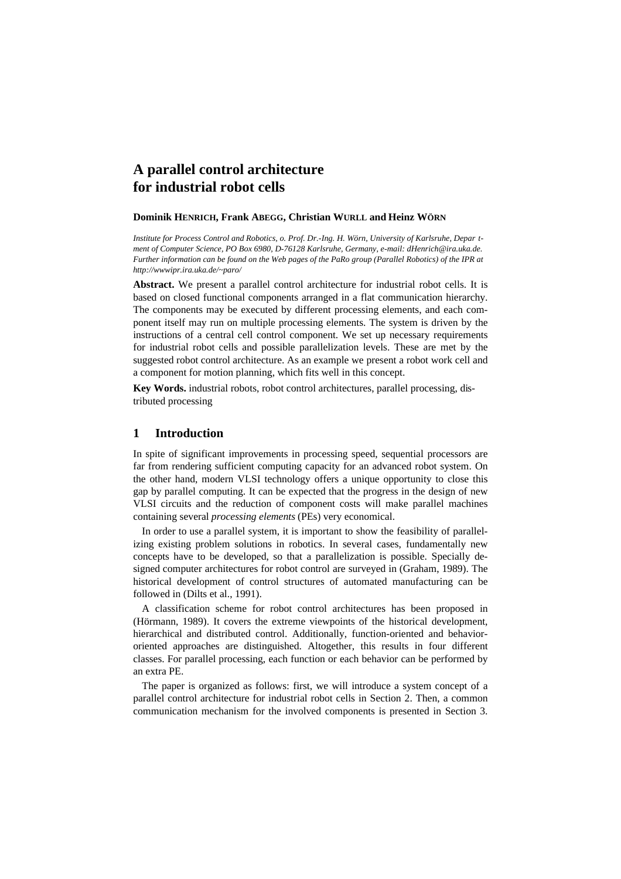# **A parallel control architecture for industrial robot cells**

#### **Dominik HENRICH, Frank ABEGG, Christian WURLL and Heinz WÖRN**

*Institute for Process Control and Robotics, o. Prof. Dr.-Ing. H. Wörn, University of Karlsruhe, Depar tment of Computer Science, PO Box 6980, D-76128 Karlsruhe, Germany, e-mail: dHenrich@ira.uka.de. Further information can be found on the Web pages of the PaRo group (Parallel Robotics) of the IPR at http://wwwipr.ira.uka.de/~paro/*

**Abstract.** We present a parallel control architecture for industrial robot cells. It is based on closed functional components arranged in a flat communication hierarchy. The components may be executed by different processing elements, and each component itself may run on multiple processing elements. The system is driven by the instructions of a central cell control component. We set up necessary requirements for industrial robot cells and possible parallelization levels. These are met by the suggested robot control architecture. As an example we present a robot work cell and a component for motion planning, which fits well in this concept.

**Key Words.** industrial robots, robot control architectures, parallel processing, distributed processing

## **1 Introduction**

In spite of significant improvements in processing speed, sequential processors are far from rendering sufficient computing capacity for an advanced robot system. On the other hand, modern VLSI technology offers a unique opportunity to close this gap by parallel computing. It can be expected that the progress in the design of new VLSI circuits and the reduction of component costs will make parallel machines containing several *processing elements* (PEs) very economical.

In order to use a parallel system, it is important to show the feasibility of parallelizing existing problem solutions in robotics. In several cases, fundamentally new concepts have to be developed, so that a parallelization is possible. Specially designed computer architectures for robot control are surveyed in (Graham, 1989). The historical development of control structures of automated manufacturing can be followed in (Dilts et al., 1991).

A classification scheme for robot control architectures has been proposed in (Hörmann, 1989). It covers the extreme viewpoints of the historical development, hierarchical and distributed control. Additionally, function-oriented and behaviororiented approaches are distinguished. Altogether, this results in four different classes. For parallel processing, each function or each behavior can be performed by an extra PE.

The paper is organized as follows: first, we will introduce a system concept of a parallel control architecture for industrial robot cells in Section 2. Then, a common communication mechanism for the involved components is presented in Section 3.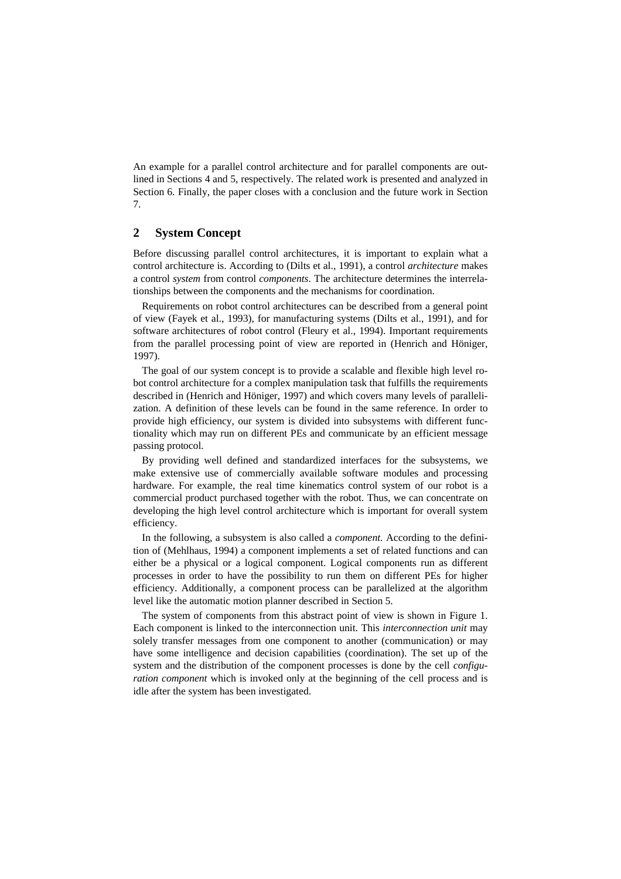An example for a parallel control architecture and for parallel components are outlined in Sections 4 and 5, respectively. The related work is presented and analyzed in Section 6. Finally, the paper closes with a conclusion and the future work in Section 7.

## **2 System Concept**

Before discussing parallel control architectures, it is important to explain what a control architecture is. According to (Dilts et al., 1991), a control *architecture* makes a control *system* from control *components*. The architecture determines the interrelationships between the components and the mechanisms for coordination.

Requirements on robot control architectures can be described from a general point of view (Fayek et al., 1993), for manufacturing systems (Dilts et al., 1991), and for software architectures of robot control (Fleury et al., 1994). Important requirements from the parallel processing point of view are reported in (Henrich and Höniger, 1997).

The goal of our system concept is to provide a scalable and flexible high level robot control architecture for a complex manipulation task that fulfills the requirements described in (Henrich and Höniger, 1997) and which covers many levels of parallelization. A definition of these levels can be found in the same reference. In order to provide high efficiency, our system is divided into subsystems with different functionality which may run on different PEs and communicate by an efficient message passing protocol.

By providing well defined and standardized interfaces for the subsystems, we make extensive use of commercially available software modules and processing hardware. For example, the real time kinematics control system of our robot is a commercial product purchased together with the robot. Thus, we can concentrate on developing the high level control architecture which is important for overall system efficiency.

In the following, a subsystem is also called a *component.* According to the definition of (Mehlhaus, 1994) a component implements a set of related functions and can either be a physical or a logical component. Logical components run as different processes in order to have the possibility to run them on different PEs for higher efficiency. Additionally, a component process can be parallelized at the algorithm level like the automatic motion planner described in Section 5.

The system of components from this abstract point of view is shown in Figure 1. Each component is linked to the interconnection unit. This *interconnection unit* may solely transfer messages from one component to another (communication) or may have some intelligence and decision capabilities (coordination). The set up of the system and the distribution of the component processes is done by the cell *configuration component* which is invoked only at the beginning of the cell process and is idle after the system has been investigated.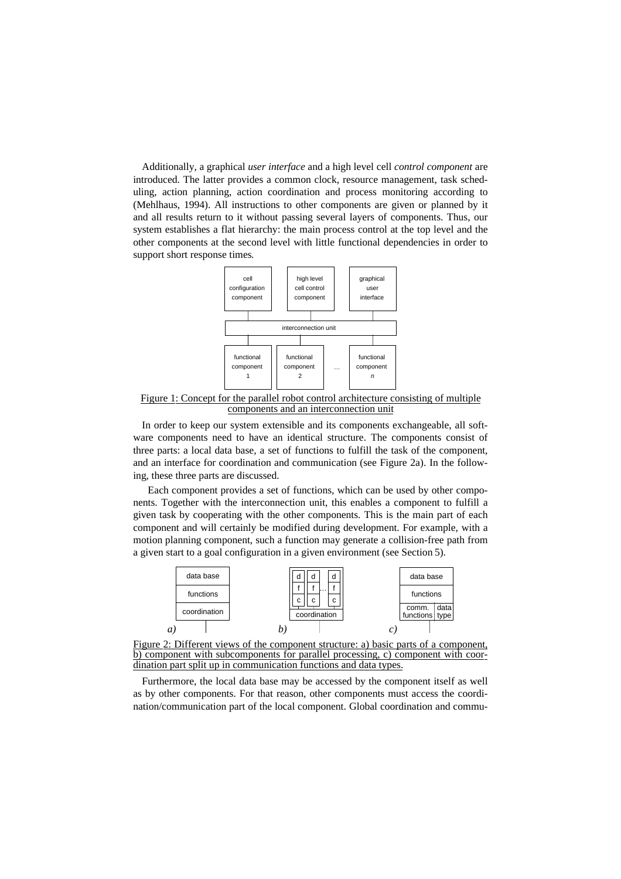Additionally, a graphical *user interface* and a high level cell *control component* are introduced. The latter provides a common clock, resource management, task scheduling, action planning, action coordination and process monitoring according to (Mehlhaus, 1994). All instructions to other components are given or planned by it and all results return to it without passing several layers of components. Thus, our system establishes a flat hierarchy: the main process control at the top level and the other components at the second level with little functional dependencies in order to support short response times.



Figure 1: Concept for the parallel robot control architecture consisting of multiple components and an interconnection unit

In order to keep our system extensible and its components exchangeable, all software components need to have an identical structure. The components consist of three parts: a local data base, a set of functions to fulfill the task of the component, and an interface for coordination and communication (see Figure 2a). In the following, these three parts are discussed.

Each component provides a set of functions, which can be used by other components. Together with the interconnection unit, this enables a component to fulfill a given task by cooperating with the other components. This is the main part of each component and will certainly be modified during development. For example, with a motion planning component, such a function may generate a collision-free path from a given start to a goal configuration in a given environment (see Section 5).



Figure 2: Different views of the component structure: a) basic parts of a component, b) component with subcomponents for parallel processing, c) con dination part split up in communication functions and data types.

Furthermore, the local data base may be accessed by the component itself as well as by other components. For that reason, other components must access the coordination/communication part of the local component. Global coordination and commu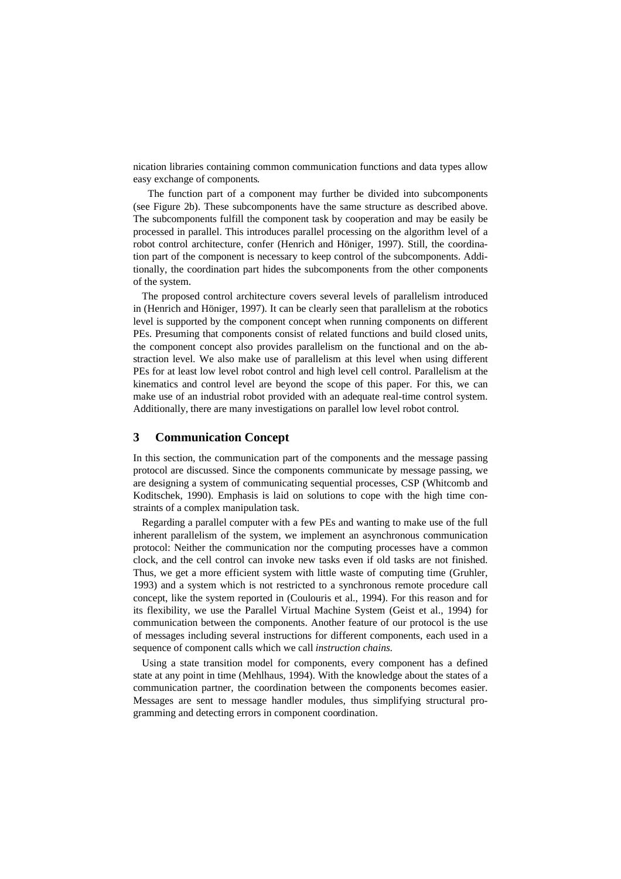nication libraries containing common communication functions and data types allow easy exchange of components.

The function part of a component may further be divided into subcomponents (see Figure 2b). These subcomponents have the same structure as described above. The subcomponents fulfill the component task by cooperation and may be easily be processed in parallel. This introduces parallel processing on the algorithm level of a robot control architecture, confer (Henrich and Höniger, 1997). Still, the coordination part of the component is necessary to keep control of the subcomponents. Additionally, the coordination part hides the subcomponents from the other components of the system.

The proposed control architecture covers several levels of parallelism introduced in (Henrich and Höniger, 1997). It can be clearly seen that parallelism at the robotics level is supported by the component concept when running components on different PEs. Presuming that components consist of related functions and build closed units, the component concept also provides parallelism on the functional and on the abstraction level. We also make use of parallelism at this level when using different PEs for at least low level robot control and high level cell control. Parallelism at the kinematics and control level are beyond the scope of this paper. For this, we can make use of an industrial robot provided with an adequate real-time control system. Additionally, there are many investigations on parallel low level robot control.

### **3 Communication Concept**

In this section, the communication part of the components and the message passing protocol are discussed. Since the components communicate by message passing, we are designing a system of communicating sequential processes, CSP (Whitcomb and Koditschek, 1990). Emphasis is laid on solutions to cope with the high time constraints of a complex manipulation task.

Regarding a parallel computer with a few PEs and wanting to make use of the full inherent parallelism of the system, we implement an asynchronous communication protocol: Neither the communication nor the computing processes have a common clock, and the cell control can invoke new tasks even if old tasks are not finished. Thus, we get a more efficient system with little waste of computing time (Gruhler, 1993) and a system which is not restricted to a synchronous remote procedure call concept, like the system reported in (Coulouris et al., 1994). For this reason and for its flexibility, we use the Parallel Virtual Machine System (Geist et al., 1994) for communication between the components. Another feature of our protocol is the use of messages including several instructions for different components, each used in a sequence of component calls which we call *instruction chains*.

Using a state transition model for components, every component has a defined state at any point in time (Mehlhaus, 1994). With the knowledge about the states of a communication partner, the coordination between the components becomes easier. Messages are sent to message handler modules, thus simplifying structural programming and detecting errors in component coordination.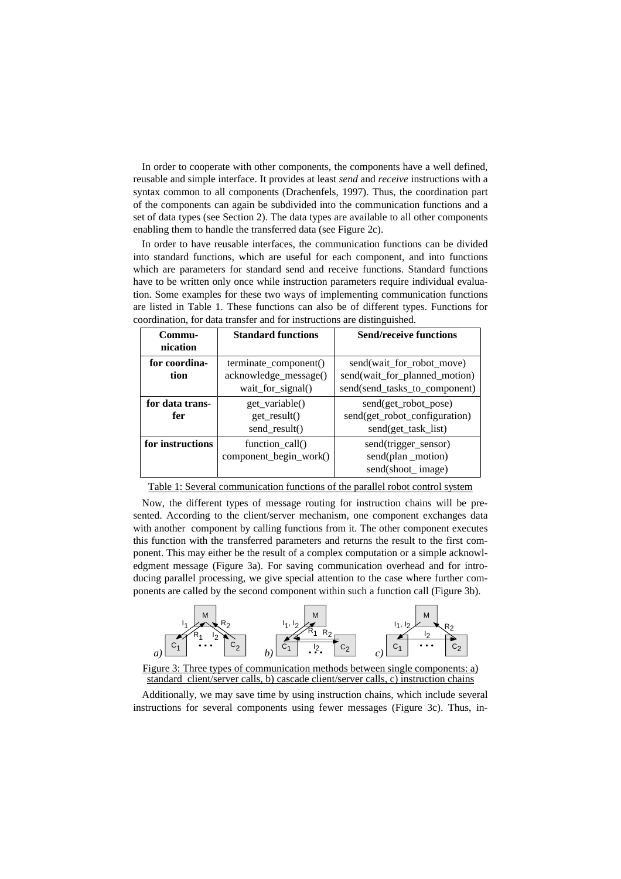In order to cooperate with other components, the components have a well defined, reusable and simple interface. It provides at least *send* and *receive* instructions with a syntax common to all components (Drachenfels, 1997). Thus, the coordination part of the components can again be subdivided into the communication functions and a set of data types (see Section 2). The data types are available to all other components enabling them to handle the transferred data (see Figure 2c).

In order to have reusable interfaces, the communication functions can be divided into standard functions, which are useful for each component, and into functions which are parameters for standard send and receive functions. Standard functions have to be written only once while instruction parameters require individual evaluation. Some examples for these two ways of implementing communication functions are listed in Table 1. These functions can also be of different types. Functions for coordination, for data transfer and for instructions are distinguished.

| Commu-           | <b>Standard functions</b> | <b>Send/receive functions</b> |
|------------------|---------------------------|-------------------------------|
| nication         |                           |                               |
| for coordina-    | terminate component()     | send(wait_for_robot_move)     |
| tion             | acknowledge_message()     | send(wait_for_planned_motion) |
|                  | wait_for_signal()         | send(send_tasks_to_component) |
| for data trans-  | get_variable()            | send(get_robot_pose)          |
| fer              | get_result()              | send(get_robot_configuration) |
|                  | send_result()             | send(get_task_list)           |
| for instructions | function_call()           | send(trigger_sensor)          |
|                  | component_begin_work()    | send(plan _motion)            |
|                  |                           | send(shoot_image)             |

Table 1: Several communication functions of the parallel robot control system

Now, the different types of message routing for instruction chains will be presented. According to the client/server mechanism, one component exchanges data with another component by calling functions from it. The other component executes this function with the transferred parameters and returns the result to the first component. This may either be the result of a complex computation or a simple acknowledgment message (Figure 3a). For saving communication overhead and for introducing parallel processing, we give special attention to the case where further components are called by the second component within such a function call (Figure 3b).



Figure 3: Three types of communication methods between single components: a) standard client/server calls, b) cascade client/server calls, c) instruction chains

Additionally, we may save time by using instruction chains, which include several instructions for several components using fewer messages (Figure 3c). Thus, in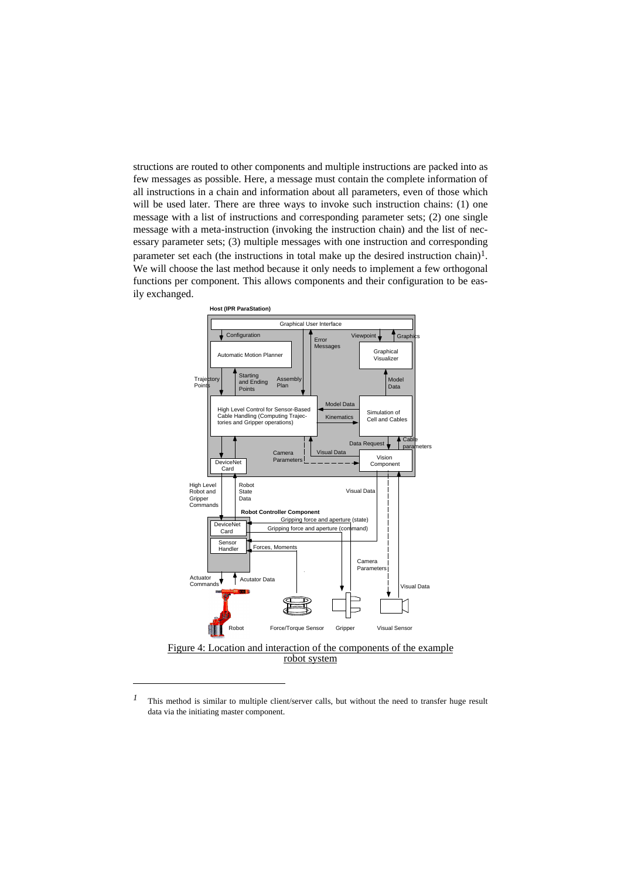structions are routed to other components and multiple instructions are packed into as few messages as possible. Here, a message must contain the complete information of all instructions in a chain and information about all parameters, even of those which will be used later. There are three ways to invoke such instruction chains: (1) one message with a list of instructions and corresponding parameter sets; (2) one single message with a meta-instruction (invoking the instruction chain) and the list of necessary parameter sets; (3) multiple messages with one instruction and corresponding parameter set each (the instructions in total make up the desired instruction chain)<sup>1</sup>. We will choose the last method because it only needs to implement a few orthogonal functions per component. This allows components and their configuration to be easily exchanged.



robot system

 $\overline{a}$ 

<sup>&</sup>lt;sup>1</sup> This method is similar to multiple client/server calls, but without the need to transfer huge result data via the initiating master component.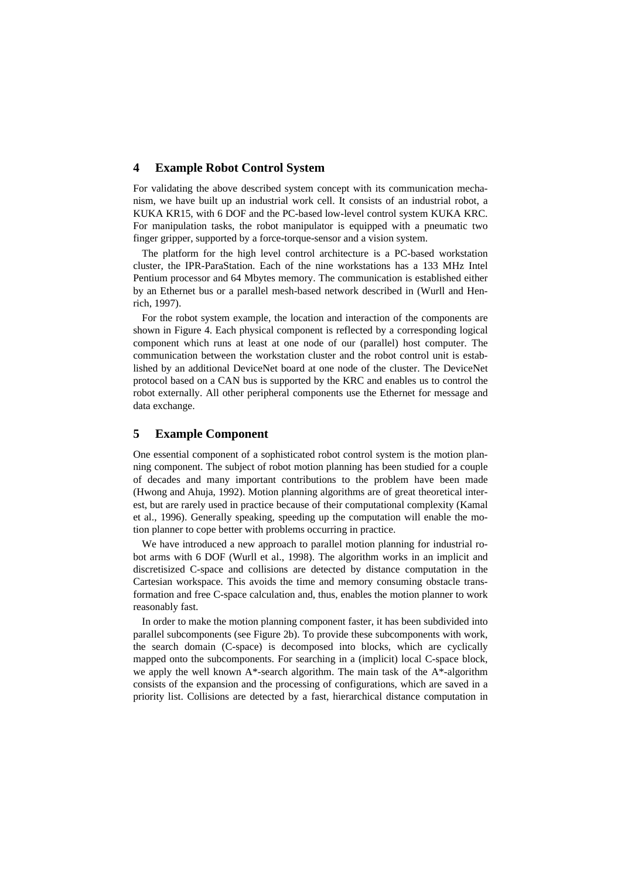#### **4 Example Robot Control System**

For validating the above described system concept with its communication mechanism, we have built up an industrial work cell. It consists of an industrial robot, a KUKA KR15, with 6 DOF and the PC-based low-level control system KUKA KRC. For manipulation tasks, the robot manipulator is equipped with a pneumatic two finger gripper, supported by a force-torque-sensor and a vision system.

The platform for the high level control architecture is a PC-based workstation cluster, the IPR-ParaStation. Each of the nine workstations has a 133 MHz Intel Pentium processor and 64 Mbytes memory. The communication is established either by an Ethernet bus or a parallel mesh-based network described in (Wurll and Henrich, 1997).

For the robot system example, the location and interaction of the components are shown in Figure 4. Each physical component is reflected by a corresponding logical component which runs at least at one node of our (parallel) host computer. The communication between the workstation cluster and the robot control unit is established by an additional DeviceNet board at one node of the cluster. The DeviceNet protocol based on a CAN bus is supported by the KRC and enables us to control the robot externally. All other peripheral components use the Ethernet for message and data exchange.

#### **5 Example Component**

One essential component of a sophisticated robot control system is the motion planning component. The subject of robot motion planning has been studied for a couple of decades and many important contributions to the problem have been made (Hwong and Ahuja, 1992). Motion planning algorithms are of great theoretical interest, but are rarely used in practice because of their computational complexity (Kamal et al., 1996). Generally speaking, speeding up the computation will enable the motion planner to cope better with problems occurring in practice.

We have introduced a new approach to parallel motion planning for industrial robot arms with 6 DOF (Wurll et al., 1998). The algorithm works in an implicit and discretisized C-space and collisions are detected by distance computation in the Cartesian workspace. This avoids the time and memory consuming obstacle transformation and free C-space calculation and, thus, enables the motion planner to work reasonably fast.

In order to make the motion planning component faster, it has been subdivided into parallel subcomponents (see Figure 2b). To provide these subcomponents with work, the search domain (C-space) is decomposed into blocks, which are cyclically mapped onto the subcomponents. For searching in a (implicit) local C-space block, we apply the well known A\*-search algorithm. The main task of the A\*-algorithm consists of the expansion and the processing of configurations, which are saved in a priority list. Collisions are detected by a fast, hierarchical distance computation in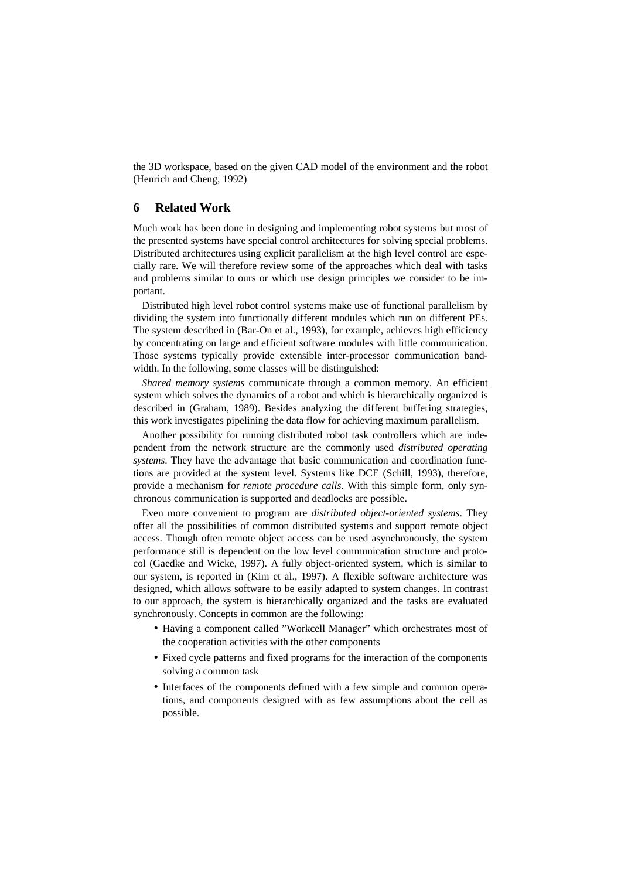the 3D workspace, based on the given CAD model of the environment and the robot (Henrich and Cheng, 1992)

### **6 Related Work**

Much work has been done in designing and implementing robot systems but most of the presented systems have special control architectures for solving special problems. Distributed architectures using explicit parallelism at the high level control are especially rare. We will therefore review some of the approaches which deal with tasks and problems similar to ours or which use design principles we consider to be important.

Distributed high level robot control systems make use of functional parallelism by dividing the system into functionally different modules which run on different PEs. The system described in (Bar-On et al., 1993), for example, achieves high efficiency by concentrating on large and efficient software modules with little communication. Those systems typically provide extensible inter-processor communication bandwidth. In the following, some classes will be distinguished:

*Shared memory systems* communicate through a common memory. An efficient system which solves the dynamics of a robot and which is hierarchically organized is described in (Graham, 1989). Besides analyzing the different buffering strategies, this work investigates pipelining the data flow for achieving maximum parallelism.

Another possibility for running distributed robot task controllers which are independent from the network structure are the commonly used *distributed operating systems*. They have the advantage that basic communication and coordination functions are provided at the system level. Systems like DCE (Schill, 1993), therefore, provide a mechanism for *remote procedure calls*. With this simple form, only synchronous communication is supported and deadlocks are possible.

Even more convenient to program are *distributed object-oriented systems*. They offer all the possibilities of common distributed systems and support remote object access. Though often remote object access can be used asynchronously, the system performance still is dependent on the low level communication structure and protocol (Gaedke and Wicke, 1997). A fully object-oriented system, which is similar to our system, is reported in (Kim et al., 1997). A flexible software architecture was designed, which allows software to be easily adapted to system changes. In contrast to our approach, the system is hierarchically organized and the tasks are evaluated synchronously. Concepts in common are the following:

- Having a component called "Workcell Manager" which orchestrates most of the cooperation activities with the other components
- Fixed cycle patterns and fixed programs for the interaction of the components solving a common task
- Interfaces of the components defined with a few simple and common operations, and components designed with as few assumptions about the cell as possible.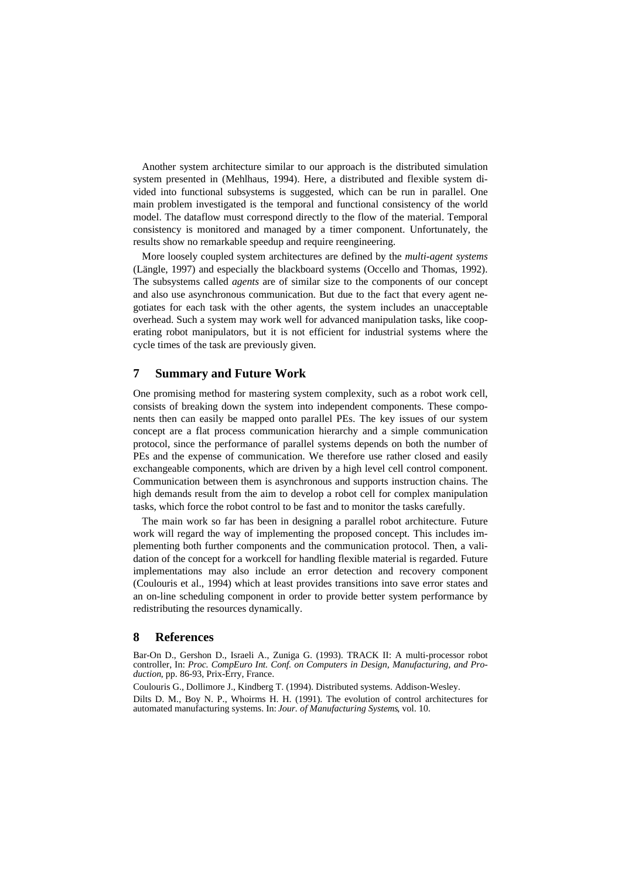Another system architecture similar to our approach is the distributed simulation system presented in (Mehlhaus, 1994). Here, a distributed and flexible system divided into functional subsystems is suggested, which can be run in parallel. One main problem investigated is the temporal and functional consistency of the world model. The dataflow must correspond directly to the flow of the material. Temporal consistency is monitored and managed by a timer component. Unfortunately, the results show no remarkable speedup and require reengineering.

More loosely coupled system architectures are defined by the *multi-agent systems* (Längle, 1997) and especially the blackboard systems (Occello and Thomas, 1992). The subsystems called *agents* are of similar size to the components of our concept and also use asynchronous communication. But due to the fact that every agent negotiates for each task with the other agents, the system includes an unacceptable overhead. Such a system may work well for advanced manipulation tasks, like cooperating robot manipulators, but it is not efficient for industrial systems where the cycle times of the task are previously given.

## **7 Summary and Future Work**

One promising method for mastering system complexity, such as a robot work cell, consists of breaking down the system into independent components. These components then can easily be mapped onto parallel PEs. The key issues of our system concept are a flat process communication hierarchy and a simple communication protocol, since the performance of parallel systems depends on both the number of PEs and the expense of communication. We therefore use rather closed and easily exchangeable components, which are driven by a high level cell control component. Communication between them is asynchronous and supports instruction chains. The high demands result from the aim to develop a robot cell for complex manipulation tasks, which force the robot control to be fast and to monitor the tasks carefully.

The main work so far has been in designing a parallel robot architecture. Future work will regard the way of implementing the proposed concept. This includes implementing both further components and the communication protocol. Then, a validation of the concept for a workcell for handling flexible material is regarded. Future implementations may also include an error detection and recovery component (Coulouris et al., 1994) which at least provides transitions into save error states and an on-line scheduling component in order to provide better system performance by redistributing the resources dynamically.

#### **8 References**

Bar-On D., Gershon D., Israeli A., Zuniga G. (1993). TRACK II: A multi-processor robot controller, In: *Proc. CompEuro Int. Conf. on Computers in Design, Manufacturing, and Production*, pp. 86-93, Prix-Erry, France.

Coulouris G., Dollimore J., Kindberg T. (1994). Distributed systems. Addison-Wesley.

Dilts D. M., Boy N. P., Whoirms H. H. (1991). The evolution of control architectures for automated manufacturing systems. In: *Jour. of Manufacturing Systems*, vol. 10.